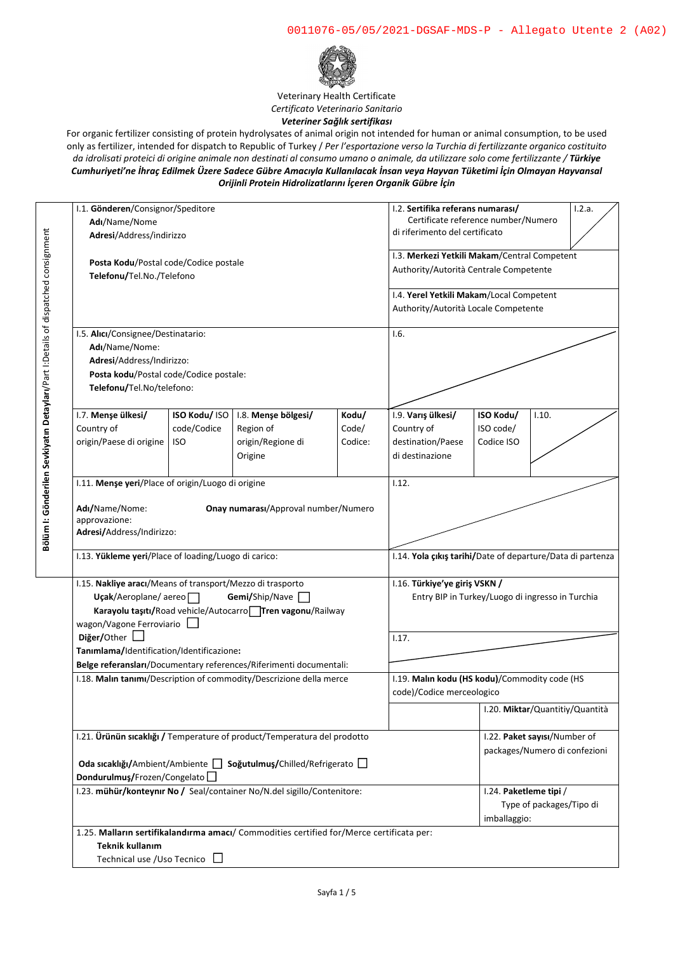

Veterinary Health Certificate *Certificato Veterinario Sanitario Veteriner Sağlık sertifikası* 

For organic fertilizer consisting of protein hydrolysates of animal origin not intended for human or animal consumption, to be used only as fertilizer, intended for dispatch to Republic of Turkey / *Per l'esportazione verso la Turchia di fertilizzante organico costituito da idrolisati proteici di origine animale non destinati al consumo umano o animale, da utilizzare solo come fertilizzante / Türkiye Cumhuriyeti'ne İhraç Edilmek Üzere Sadece Gübre Amacıyla Kullanılacak İnsan veya Hayvan Tüketimi İçin Olmayan Hayvansal Orijinli Protein Hidrolizatlarını İçeren Organik Gübre İçin* 

| I.1. Gönderen/Consignor/Speditore<br>Adı/Name/Nome<br>Adresi/Address/indirizzo                                                                                                                                                 |  |                                                                                                                                             | 1.2. Sertifika referans numarası/<br>Certificate reference number/Numero<br>di riferimento del certificato                                                                         |                                                                            |  |                                                               |                                            |                                                                  |                           |                                                                          |                                      |       |
|--------------------------------------------------------------------------------------------------------------------------------------------------------------------------------------------------------------------------------|--|---------------------------------------------------------------------------------------------------------------------------------------------|------------------------------------------------------------------------------------------------------------------------------------------------------------------------------------|----------------------------------------------------------------------------|--|---------------------------------------------------------------|--------------------------------------------|------------------------------------------------------------------|---------------------------|--------------------------------------------------------------------------|--------------------------------------|-------|
| Posta Kodu/Postal code/Codice postale<br>Telefonu/Tel.No./Telefono<br>I.5. Alici/Consignee/Destinatario:<br>Adı/Name/Nome:<br>Adresi/Address/Indirizzo:<br>Posta kodu/Postal code/Codice postale:<br>Telefonu/Tel.No/telefono: |  |                                                                                                                                             | I.3. Merkezi Yetkili Makam/Central Competent<br>Authority/Autorità Centrale Competente<br>I.4. Yerel Yetkili Makam/Local Competent<br>Authority/Autorità Locale Competente<br>1.6. |                                                                            |  |                                                               |                                            |                                                                  |                           |                                                                          |                                      |       |
|                                                                                                                                                                                                                                |  |                                                                                                                                             |                                                                                                                                                                                    |                                                                            |  |                                                               |                                            |                                                                  |                           |                                                                          |                                      |       |
|                                                                                                                                                                                                                                |  |                                                                                                                                             |                                                                                                                                                                                    |                                                                            |  | I.7. Menşe ülkesi/<br>Country of<br>origin/Paese di origine   | ISO Kodu/ ISO<br>code/Codice<br><b>ISO</b> | 1.8. Menşe bölgesi/<br>Region of<br>origin/Regione di<br>Origine | Kodu/<br>Code/<br>Codice: | 1.9. Varış ülkesi/<br>Country of<br>destination/Paese<br>di destinazione | ISO Kodu/<br>ISO code/<br>Codice ISO | 1.10. |
| I.11. Menşe yeri/Place of origin/Luogo di origine<br>Adı/Name/Nome:                                                                                                                                                            |  | Onay numarası/Approval number/Numero                                                                                                        |                                                                                                                                                                                    | 1.12.                                                                      |  |                                                               |                                            |                                                                  |                           |                                                                          |                                      |       |
| approvazione:<br>Adresi/Address/Indirizzo:                                                                                                                                                                                     |  |                                                                                                                                             |                                                                                                                                                                                    |                                                                            |  |                                                               |                                            |                                                                  |                           |                                                                          |                                      |       |
|                                                                                                                                                                                                                                |  |                                                                                                                                             |                                                                                                                                                                                    |                                                                            |  |                                                               |                                            |                                                                  |                           |                                                                          |                                      |       |
| I.13. Yükleme yeri/Place of loading/Luogo di carico:                                                                                                                                                                           |  |                                                                                                                                             |                                                                                                                                                                                    | I.14. Yola çıkış tarihi/Date of departure/Data di partenza                 |  |                                                               |                                            |                                                                  |                           |                                                                          |                                      |       |
| I.15. Nakliye aracı/Means of transport/Mezzo di trasporto<br>$Uçak/Aeroplane/$ aereo                                                                                                                                           |  | Gemi/Ship/Nave<br>Karayolu taşıtı/Road vehicle/AutocarronTren vagonu/Railway                                                                |                                                                                                                                                                                    | 1.16. Türkiye'ye giriş VSKN /                                              |  | Entry BIP in Turkey/Luogo di ingresso in Turchia              |                                            |                                                                  |                           |                                                                          |                                      |       |
| wagon/Vagone Ferroviario<br>Diğer/Other<br>Tanımlama/Identification/Identificazione:                                                                                                                                           |  |                                                                                                                                             |                                                                                                                                                                                    | 1.17.                                                                      |  |                                                               |                                            |                                                                  |                           |                                                                          |                                      |       |
|                                                                                                                                                                                                                                |  | Belge referansları/Documentary references/Riferimenti documentali:                                                                          |                                                                                                                                                                                    |                                                                            |  |                                                               |                                            |                                                                  |                           |                                                                          |                                      |       |
|                                                                                                                                                                                                                                |  | I.18. Malın tanımı/Description of commodity/Descrizione della merce                                                                         |                                                                                                                                                                                    | I.19. Malın kodu (HS kodu)/Commodity code (HS<br>code)/Codice merceologico |  |                                                               |                                            |                                                                  |                           |                                                                          |                                      |       |
|                                                                                                                                                                                                                                |  |                                                                                                                                             |                                                                                                                                                                                    |                                                                            |  | I.20. Miktar/Quantitiy/Quantità                               |                                            |                                                                  |                           |                                                                          |                                      |       |
| Dondurulmuş/Frozen/Congelato                                                                                                                                                                                                   |  | I.21. Ürünün sıcaklığı / Temperature of product/Temperatura del prodotto<br>Oda sıcaklığı/Ambient/Ambiente   Soğutulmuş/Chilled/Refrigerato |                                                                                                                                                                                    |                                                                            |  | I.22. Paket sayisi/Number of<br>packages/Numero di confezioni |                                            |                                                                  |                           |                                                                          |                                      |       |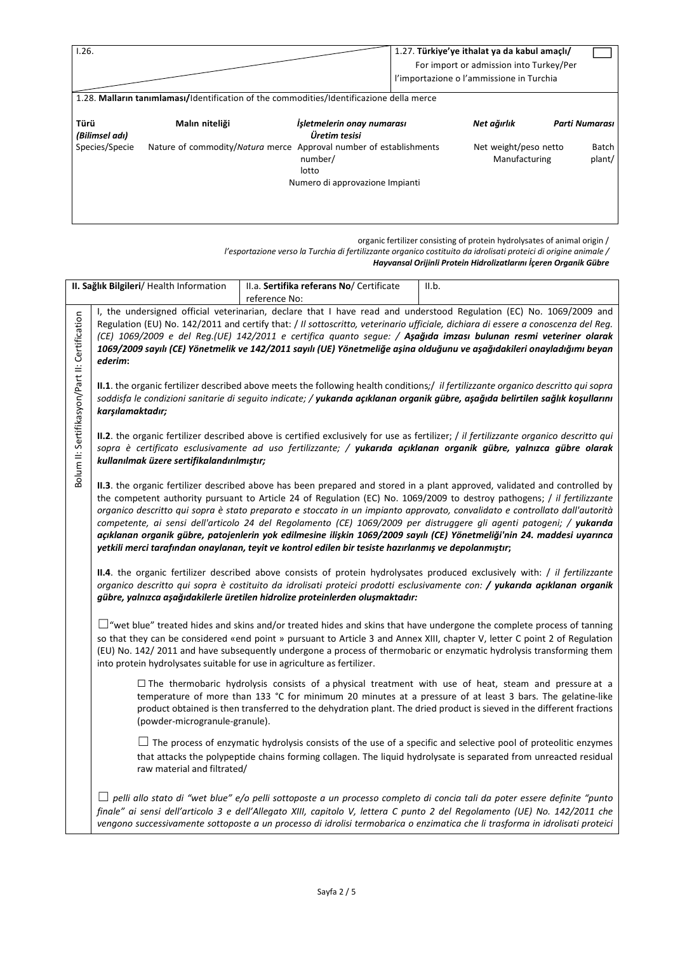| 1.26.                  |                                                                                          |                                                     | 1.27. Türkiye'ye ithalat ya da kabul amaçlı/<br>For import or admission into Turkey/Per<br>l'importazione o l'ammissione in Turchia |                 |
|------------------------|------------------------------------------------------------------------------------------|-----------------------------------------------------|-------------------------------------------------------------------------------------------------------------------------------------|-----------------|
|                        | 1.28. Malların tanımlaması/Identification of the commodities/Identificazione della merce |                                                     |                                                                                                                                     |                 |
| Türü<br>(Bilimsel adı) | Malın niteliği                                                                           | İşletmelerin onay numarası<br>Üretim tesisi         | Net ağırlık                                                                                                                         | Parti Numarası  |
| Species/Specie         | Nature of commodity/Natura merce Approval number of establishments                       | number/<br>lotto<br>Numero di approvazione Impianti | Net weight/peso netto<br>Manufacturing                                                                                              | Batch<br>plant/ |
|                        |                                                                                          |                                                     |                                                                                                                                     |                 |

organic fertilizer consisting of protein hydrolysates of animal origin /

*l'esportazione verso la Turchia di fertilizzante organico costituito da idrolisati proteici di origine animale / Hayvansal Orijinli Protein Hidrolizatlarını İçeren Organik Gübre* 

|                                                | II. Sağlık Bilgileri/ Health Information                                                                                                                                                                                                                                                                                                                                                                                                                                                                                             | II.a. Sertifika referans No/ Certificate                                                              | II.b.                                                                                                                                                                                                                                                                                                                                                                                                                                                                                                                                                                                                                                    |  |  |  |
|------------------------------------------------|--------------------------------------------------------------------------------------------------------------------------------------------------------------------------------------------------------------------------------------------------------------------------------------------------------------------------------------------------------------------------------------------------------------------------------------------------------------------------------------------------------------------------------------|-------------------------------------------------------------------------------------------------------|------------------------------------------------------------------------------------------------------------------------------------------------------------------------------------------------------------------------------------------------------------------------------------------------------------------------------------------------------------------------------------------------------------------------------------------------------------------------------------------------------------------------------------------------------------------------------------------------------------------------------------------|--|--|--|
| Bolum II: Sertifikasyon/Part II: Certification | reference No:<br>I, the undersigned official veterinarian, declare that I have read and understood Regulation (EC) No. 1069/2009 and<br>Regulation (EU) No. 142/2011 and certify that: / Il sottoscritto, veterinario ufficiale, dichiara di essere a conoscenza del Reg.<br>(CE) 1069/2009 e del Reg. (UE) 142/2011 e certifica quanto segue: / Așağıda imzası bulunan resmi veteriner olarak<br>1069/2009 sayılı (CE) Yönetmelik ve 142/2011 sayılı (UE) Yönetmeliğe aşina olduğunu ve aşağıdakileri onayladığımı beyan<br>ederim: |                                                                                                       |                                                                                                                                                                                                                                                                                                                                                                                                                                                                                                                                                                                                                                          |  |  |  |
|                                                | II.1. the organic fertilizer described above meets the following health conditions;/ il fertilizzante organico descritto qui sopra<br>soddisfa le condizioni sanitarie di seguito indicate; / yukarıda açıklanan organik gübre, aşağıda belirtilen sağlık koşullarını<br>karşılamaktadır;                                                                                                                                                                                                                                            |                                                                                                       |                                                                                                                                                                                                                                                                                                                                                                                                                                                                                                                                                                                                                                          |  |  |  |
|                                                | II.2. the organic fertilizer described above is certified exclusively for use as fertilizer; / il fertilizzante organico descritto qui<br>sopra è certificato esclusivamente ad uso fertilizzante; / yukarıda açıklanan organik gübre, yalnızca gübre olarak<br>kullanılmak üzere sertifikalandırılmıştır;                                                                                                                                                                                                                           |                                                                                                       |                                                                                                                                                                                                                                                                                                                                                                                                                                                                                                                                                                                                                                          |  |  |  |
|                                                |                                                                                                                                                                                                                                                                                                                                                                                                                                                                                                                                      | yetkili merci tarafından onaylanan, teyit ve kontrol edilen bir tesiste hazırlanmış ve depolanmıştır; | II.3. the organic fertilizer described above has been prepared and stored in a plant approved, validated and controlled by<br>the competent authority pursuant to Article 24 of Regulation (EC) No. 1069/2009 to destroy pathogens; / il fertilizzante<br>organico descritto qui sopra è stato preparato e stoccato in un impianto approvato, convalidato e controllato dall'autorità<br>competente, ai sensi dell'articolo 24 del Regolamento (CE) 1069/2009 per distruggere gli agenti patogeni; / yukarıda<br>açıklanan organik gübre, patojenlerin yok edilmesine ilişkin 1069/2009 sayılı (CE) Yönetmeliği'nin 24. maddesi uyarınca |  |  |  |
|                                                |                                                                                                                                                                                                                                                                                                                                                                                                                                                                                                                                      | gübre, yalnızca aşağıdakilerle üretilen hidrolize proteinlerden oluşmaktadır:                         | II.4. the organic fertilizer described above consists of protein hydrolysates produced exclusively with: / il fertilizzante<br>organico descritto qui sopra è costituito da idrolisati proteici prodotti esclusivamente con: / yukarıda açıklanan organik                                                                                                                                                                                                                                                                                                                                                                                |  |  |  |
|                                                | into protein hydrolysates suitable for use in agriculture as fertilizer.                                                                                                                                                                                                                                                                                                                                                                                                                                                             |                                                                                                       | $\Box$ "wet blue" treated hides and skins and/or treated hides and skins that have undergone the complete process of tanning<br>so that they can be considered «end point » pursuant to Article 3 and Annex XIII, chapter V, letter C point 2 of Regulation<br>(EU) No. 142/2011 and have subsequently undergone a process of thermobaric or enzymatic hydrolysis transforming them                                                                                                                                                                                                                                                      |  |  |  |
|                                                | (powder-microgranule-granule).                                                                                                                                                                                                                                                                                                                                                                                                                                                                                                       |                                                                                                       | $\Box$ The thermobaric hydrolysis consists of a physical treatment with use of heat, steam and pressure at a<br>temperature of more than 133 °C for minimum 20 minutes at a pressure of at least 3 bars. The gelatine-like<br>product obtained is then transferred to the dehydration plant. The dried product is sieved in the different fractions                                                                                                                                                                                                                                                                                      |  |  |  |
|                                                | raw material and filtrated/                                                                                                                                                                                                                                                                                                                                                                                                                                                                                                          |                                                                                                       | $\Box$ The process of enzymatic hydrolysis consists of the use of a specific and selective pool of proteolitic enzymes<br>that attacks the polypeptide chains forming collagen. The liquid hydrolysate is separated from unreacted residual                                                                                                                                                                                                                                                                                                                                                                                              |  |  |  |
|                                                |                                                                                                                                                                                                                                                                                                                                                                                                                                                                                                                                      |                                                                                                       | $\Box$ pelli allo stato di "wet blue" e/o pelli sottoposte a un processo completo di concia tali da poter essere definite "punto<br>finale" ai sensi dell'articolo 3 e dell'Allegato XIII, capitolo V, lettera C punto 2 del Regolamento (UE) No. 142/2011 che<br>vengono successivamente sottoposte a un processo di idrolisi termobarica o enzimatica che li trasforma in idrolisati proteici                                                                                                                                                                                                                                          |  |  |  |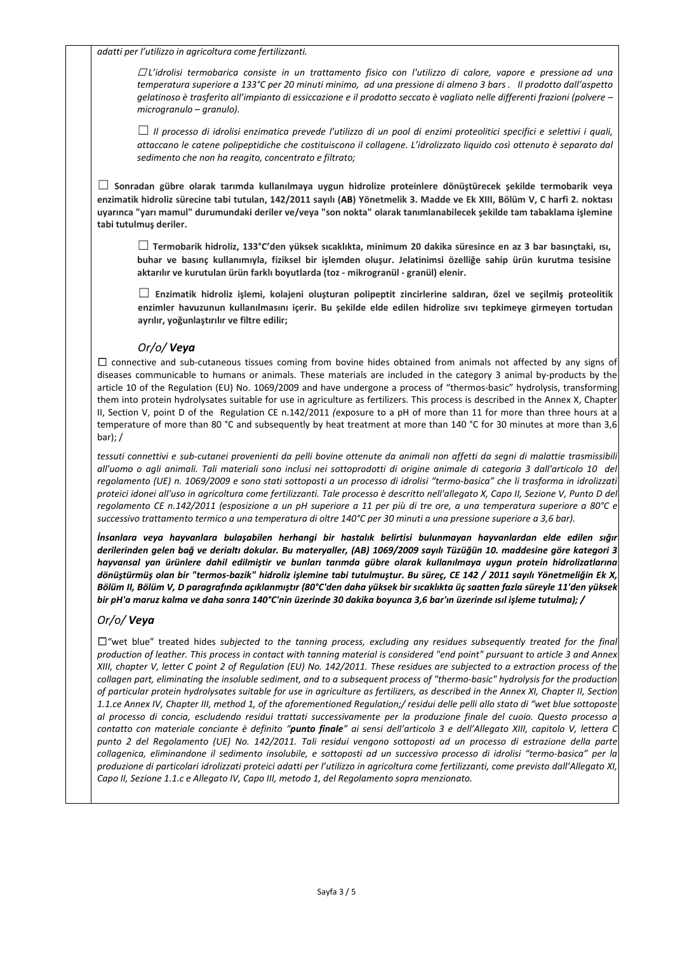*adatti per l'utilizzo in agricoltura come fertilizzanti.* 

☐ *L'idrolisi termobarica consiste in un trattamento fisico con l'utilizzo di calore, vapore e pressione ad una temperatura superiore a 133°C per 20 minuti minimo, ad una pressione di almeno 3 bars . Il prodotto dall'aspetto gelatinoso è trasferito all'impianto di essiccazione e il prodotto seccato è vagliato nelle differenti frazioni (polvere – microgranulo – granulo).* 

☐ *Il processo di idrolisi enzimatica prevede l'utilizzo di un pool di enzimi proteolitici specifici e selettivi i quali, attaccano le catene polipeptidiche che costituiscono il collagene. L'idrolizzato liquido così ottenuto è separato dal sedimento che non ha reagito, concentrato e filtrato;* 

☐ **Sonradan gübre olarak tarımda kullanılmaya uygun hidrolize proteinlere dönüştürecek şekilde termobarik veya enzimatik hidroliz sürecine tabi tutulan, 142/2011 sayılı (AB) Yönetmelik 3. Madde ve Ek XIII, Bölüm V, C harfi 2. noktası uyarınca "yarı mamul" durumundaki deriler ve/veya "son nokta" olarak tanımlanabilecek şekilde tam tabaklama işlemine tabi tutulmuş deriler.**

☐ **Termobarik hidroliz, 133°C'den yüksek sıcaklıkta, minimum 20 dakika süresince en az 3 bar basınçtaki, ısı, buhar ve basınç kullanımıyla, fiziksel bir işlemden oluşur. Jelatinimsi özelliğe sahip ürün kurutma tesisine aktarılır ve kurutulan ürün farklı boyutlarda (toz - mikrogranül - granül) elenir.** 

☐ **Enzimatik hidroliz işlemi, kolajeni oluşturan polipeptit zincirlerine saldıran, özel ve seçilmiş proteolitik enzimler havuzunun kullanılmasını içerir. Bu şekilde elde edilen hidrolize sıvı tepkimeye girmeyen tortudan ayrılır, yoğunlaştırılır ve filtre edilir;**

## *Or/o/ Veya*

☐ connective and sub-cutaneous tissues coming from bovine hides obtained from animals not affected by any signs of diseases communicable to humans or animals. These materials are included in the category 3 animal by-products by the article 10 of the Regulation (EU) No. 1069/2009 and have undergone a process of "thermos-basic" hydrolysis, transforming them into protein hydrolysates suitable for use in agriculture as fertilizers. This process is described in the Annex X, Chapter II, Section V, point D of the Regulation CE n.142/2011 *(*exposure to a pH of more than 11 for more than three hours at a temperature of more than 80 °C and subsequently by heat treatment at more than 140 °C for 30 minutes at more than 3,6 bar); /

*tessuti connettivi e sub-cutanei provenienti da pelli bovine ottenute da animali non affetti da segni di malattie trasmissibili all'uomo o agli animali. Tali materiali sono inclusi nei sottoprodotti di origine animale di categoria 3 dall'articolo 10 del regolamento (UE) n. 1069/2009 e sono stati sottoposti a un processo di idrolisi "termo-basica" che li trasforma in idrolizzati proteici idonei all'uso in agricoltura come fertilizzanti. Tale processo è descritto nell'allegato X, Capo II, Sezione V, Punto D del regolamento CE n.142/2011 (esposizione a un pH superiore a 11 per più di tre ore, a una temperatura superiore a 80°C e successivo trattamento termico a una temperatura di oltre 140°C per 30 minuti a una pressione superiore a 3,6 bar).* 

*İnsanlara veya hayvanlara bulaşabilen herhangi bir hastalık belirtisi bulunmayan hayvanlardan elde edilen sığır derilerinden gelen bağ ve derialtı dokular. Bu materyaller, (AB) 1069/2009 sayılı Tüzüğün 10. maddesine göre kategori 3 hayvansal yan ürünlere dahil edilmiştir ve bunları tarımda gübre olarak kullanılmaya uygun protein hidrolizatlarına dönüştürmüş olan bir "termos-bazik" hidroliz işlemine tabi tutulmuştur. Bu süreç, CE 142 / 2011 sayılı Yönetmeliğin Ek X, Bölüm II, Bölüm V, D paragrafında açıklanmıştır (80°C'den daha yüksek bir sıcaklıkta üç saatten fazla süreyle 11'den yüksek bir pH'a maruz kalma ve daha sonra 140°C'nin üzerinde 30 dakika boyunca 3,6 bar'ın üzerinde ısıl işleme tutulma); /* 

## *Or/o/ Veya*

☐"wet blue" treated hides *subjected to the tanning process, excluding any residues subsequently treated for the final production of leather. This process in contact with tanning material is considered "end point" pursuant to article 3 and Annex XIII, chapter V, letter C point 2 of Regulation (EU) No. 142/2011. These residues are subjected to a extraction process of the collagen part, eliminating the insoluble sediment, and to a subsequent process of "thermo-basic" hydrolysis for the production of particular protein hydrolysates suitable for use in agriculture as fertilizers, as described in the Annex XI, Chapter II, Section 1.1.ce Annex IV, Chapter III, method 1, of the aforementioned Regulation;/ residui delle pelli allo stato di "wet blue sottoposte al processo di concia, escludendo residui trattati successivamente per la produzione finale del cuoio. Questo processo a contatto con materiale conciante è definito "punto finale" ai sensi dell'articolo 3 e dell'Allegato XIII, capitolo V, lettera C punto 2 del Regolamento (UE) No. 142/2011. Tali residui vengono sottoposti ad un processo di estrazione della parte collagenica, eliminandone il sedimento insolubile, e sottoposti ad un successivo processo di idrolisi "termo-basica" per la produzione di particolari idrolizzati proteici adatti per l'utilizzo in agricoltura come fertilizzanti, come previsto dall'Allegato XI, Capo II, Sezione 1.1.c e Allegato IV, Capo III, metodo 1, del Regolamento sopra menzionato.*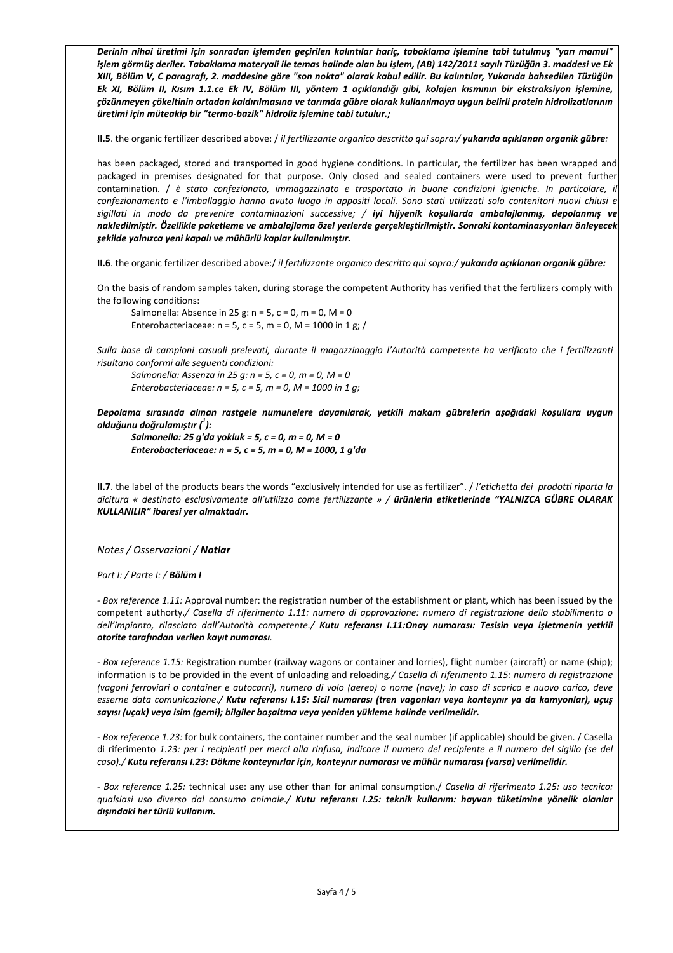*Derinin nihai üretimi için sonradan işlemden geçirilen kalıntılar hariç, tabaklama işlemine tabi tutulmuş "yarı mamul" işlem görmüş deriler. Tabaklama materyali ile temas halinde olan bu işlem, (AB) 142/2011 sayılı Tüzüğün 3. maddesi ve Ek XIII, Bölüm V, C paragrafı, 2. maddesine göre "son nokta" olarak kabul edilir. Bu kalıntılar, Yukarıda bahsedilen Tüzüğün Ek XI, Bölüm II, Kısım 1.1.ce Ek IV, Bölüm III, yöntem 1 açıklandığı gibi, kolajen kısmının bir ekstraksiyon işlemine, çözünmeyen çökeltinin ortadan kaldırılmasına ve tarımda gübre olarak kullanılmaya uygun belirli protein hidrolizatlarının üretimi için müteakip bir "termo-bazik" hidroliz işlemine tabi tutulur.;*

**II.5**. the organic fertilizer described above: / *il fertilizzante organico descritto qui sopra:/ yukarıda açıklanan organik gübre:* 

has been packaged, stored and transported in good hygiene conditions. In particular, the fertilizer has been wrapped and packaged in premises designated for that purpose. Only closed and sealed containers were used to prevent further contamination. / *è stato confezionato, immagazzinato e trasportato in buone condizioni igieniche. In particolare, il confezionamento e l'imballaggio hanno avuto luogo in appositi locali. Sono stati utilizzati solo contenitori nuovi chiusi e sigillati in modo da prevenire contaminazioni successive; / iyi hijyenik koşullarda ambalajlanmış, depolanmış ve nakledilmiştir. Özellikle paketleme ve ambalajlama özel yerlerde gerçekleştirilmiştir. Sonraki kontaminasyonları önleyecek şekilde yalnızca yeni kapalı ve mühürlü kaplar kullanılmıştır.* 

**II.6**. the organic fertilizer described above:/ *il fertilizzante organico descritto qui sopra:/ yukarıda açıklanan organik gübre:* 

On the basis of random samples taken, during storage the competent Authority has verified that the fertilizers comply with the following conditions:

Salmonella: Absence in 25 g:  $n = 5$ ,  $c = 0$ ,  $m = 0$ ,  $M = 0$ Enterobacteriaceae:  $n = 5$ ,  $c = 5$ ,  $m = 0$ ,  $M = 1000$  in 1 g; /

*Sulla base di campioni casuali prelevati, durante il magazzinaggio l'Autorità competente ha verificato che i fertilizzanti risultano conformi alle seguenti condizioni:* 

*Salmonella: Assenza in 25 g: n = 5, c = 0, m = 0, M = 0 Enterobacteriaceae: n = 5, c = 5, m = 0, M = 1000 in 1 g;* 

*Depolama sırasında alınan rastgele numunelere dayanılarak, yetkili makam gübrelerin aşağıdaki koşullara uygun olduğunu doğrulamıştır (<sup>1</sup> ):* 

*Salmonella: 25 g'da yokluk = 5, c = 0, m = 0, M = 0 Enterobacteriaceae: n = 5, c = 5, m = 0, M = 1000, 1 g'da* 

**II.7**. the label of the products bears the words "exclusively intended for use as fertilizer". / *l'etichetta dei prodotti riporta la dicitura « destinato esclusivamente all'utilizzo come fertilizzante » / ürünlerin etiketlerinde "YALNIZCA GÜBRE OLARAK KULLANILIR" ibaresi yer almaktadır.* 

*Notes / Osservazioni / Notlar* 

*Part I: / Parte I: / Bölüm I* 

*- Box reference 1.11:* Approval number: the registration number of the establishment or plant, which has been issued by the competent authorty.*/ Casella di riferimento 1.11: numero di approvazione: numero di registrazione dello stabilimento o dell'impianto, rilasciato dall'Autorità competente./ Kutu referansı I.11:Onay numarası: Tesisin veya işletmenin yetkili otorite tarafından verilen kayıt numarası.* 

*- Box reference 1.15:* Registration number (railway wagons or container and lorries), flight number (aircraft) or name (ship); information is to be provided in the event of unloading and reloading*./ Casella di riferimento 1.15: numero di registrazione (vagoni ferroviari o container e autocarri), numero di volo (aereo) o nome (nave); in caso di scarico e nuovo carico, deve esserne data comunicazione./ Kutu referansı I.15: Sicil numarası (tren vagonları veya konteynır ya da kamyonlar), uçuş sayısı (uçak) veya isim (gemi); bilgiler boşaltma veya yeniden yükleme halinde verilmelidir.* 

*- Box reference 1.23:* for bulk containers, the container number and the seal number (if applicable) should be given. / Casella di riferimento *1.23: per i recipienti per merci alla rinfusa, indicare il numero del recipiente e il numero del sigillo (se del caso)./ Kutu referansı I.23: Dökme konteynırlar için, konteynır numarası ve mühür numarası (varsa) verilmelidir.* 

*- Box reference 1.25:* technical use: any use other than for animal consumption./ *Casella di riferimento 1.25: uso tecnico: qualsiasi uso diverso dal consumo animale./ Kutu referansı I.25: teknik kullanım: hayvan tüketimine yönelik olanlar dışındaki her türlü kullanım.*